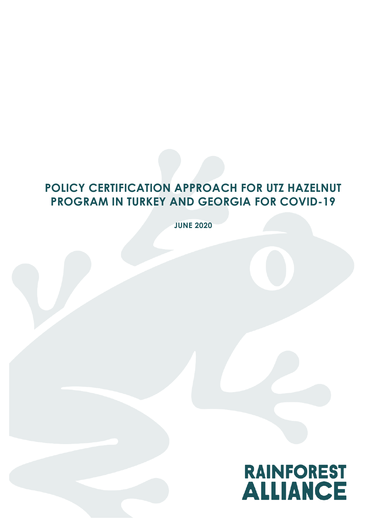# **POLICY CERTIFICATION APPROACH FOR UTZ HAZELNUT PROGRAM IN TURKEY AND GEORGIA FOR COVID-19**

**JUNE 2020**

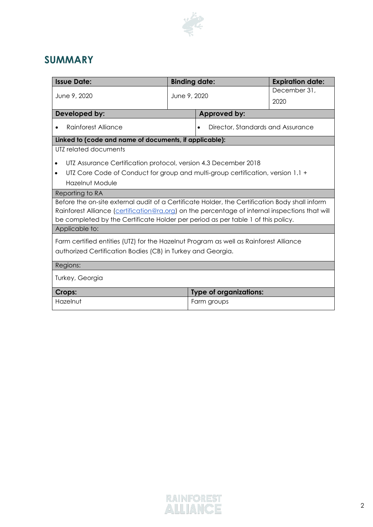

## **SUMMARY**

| <b>Issue Date:</b>                                                                             | <b>Binding date:</b> |                                                | <b>Expiration date:</b> |  |
|------------------------------------------------------------------------------------------------|----------------------|------------------------------------------------|-------------------------|--|
| June 9, 2020                                                                                   | June 9, 2020         |                                                | December 31,            |  |
|                                                                                                |                      |                                                | 2020                    |  |
| Developed by:                                                                                  | Approved by:         |                                                |                         |  |
| Rainforest Alliance                                                                            |                      | Director, Standards and Assurance<br>$\bullet$ |                         |  |
| Linked to (code and name of documents, if applicable):                                         |                      |                                                |                         |  |
| UTZ related documents                                                                          |                      |                                                |                         |  |
| UTZ Assurance Certification protocol, version 4.3 December 2018<br>$\bullet$                   |                      |                                                |                         |  |
| UTZ Core Code of Conduct for group and multi-group certification, version 1.1 +<br>$\bullet$   |                      |                                                |                         |  |
| Hazelnut Module                                                                                |                      |                                                |                         |  |
| Reporting to RA                                                                                |                      |                                                |                         |  |
| Before the on-site external audit of a Certificate Holder, the Certification Body shall inform |                      |                                                |                         |  |
| Rainforest Alliance (certification@ra.org) on the percentage of internal inspections that will |                      |                                                |                         |  |
| be completed by the Certificate Holder per period as per table 1 of this policy.               |                      |                                                |                         |  |
| Applicable to:                                                                                 |                      |                                                |                         |  |
| Farm certified entities (UTZ) for the Hazelnut Program as well as Rainforest Alliance          |                      |                                                |                         |  |
| authorized Certification Bodies (CB) in Turkey and Georgia.                                    |                      |                                                |                         |  |
| Regions:                                                                                       |                      |                                                |                         |  |
|                                                                                                |                      |                                                |                         |  |
| Turkey, Georgia                                                                                |                      |                                                |                         |  |
| Crops:                                                                                         |                      | <b>Type of organizations:</b>                  |                         |  |
| Hazelnut                                                                                       | Farm groups          |                                                |                         |  |
|                                                                                                |                      |                                                |                         |  |

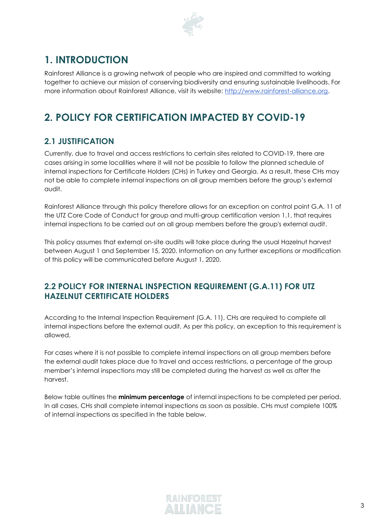

## **1. INTRODUCTION**

Rainforest Alliance is a growing network of people who are inspired and committed to working together to achieve our mission of conserving biodiversity and ensuring sustainable livelihoods. For more information about Rainforest Alliance, visit its website: [http://www.rainforest-alliance.org.](http://www.rainforest-alliance.org/)

## **2. POLICY FOR CERTIFICATION IMPACTED BY COVID-19**

### **2.1 JUSTIFICATION**

Currently, due to travel and access restrictions to certain sites related to COVID-19, there are cases arising in some localities where it will not be possible to follow the planned schedule of internal inspections for Certificate Holders (CHs) in Turkey and Georgia. As a result, these CHs may not be able to complete internal inspections on all group members before the group's external audit.

Rainforest Alliance through this policy therefore allows for an exception on control point G.A. 11 of the UTZ Core Code of Conduct for group and multi-group certification version 1.1, that requires internal inspections to be carried out on all group members before the group's external audit.

This policy assumes that external on-site audits will take place during the usual Hazelnut harvest between August 1 and September 15, 2020. Information on any further exceptions or modification of this policy will be communicated before August 1, 2020.

#### **2.2 POLICY FOR INTERNAL INSPECTION REQUIREMENT (G.A.11) FOR UTZ HAZELNUT CERTIFICATE HOLDERS**

According to the Internal Inspection Requirement (G.A. 11), CHs are required to complete all internal inspections before the external audit. As per this policy, an exception to this requirement is allowed.

For cases where it is not possible to complete internal inspections on all group members before the external audit takes place due to travel and access restrictions, a percentage of the group member's internal inspections may still be completed during the harvest as well as after the harvest.

Below table outlines the **minimum percentage** of internal inspections to be completed per period. In all cases, CHs shall complete internal inspections as soon as possible. CHs must complete 100% of internal inspections as specified in the table below.

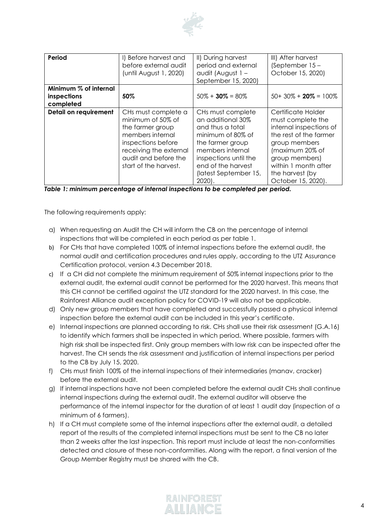

| Period                                            | I) Before harvest and<br>before external audit<br>(until August 1, 2020)                                                                                                          | II) During harvest<br>period and external<br>audit (August 1 -<br>September 15, 2020)                                                                                                                       | III) After harvest<br>(September 15 -<br>October 15, 2020)                                                                                                                                                          |
|---------------------------------------------------|-----------------------------------------------------------------------------------------------------------------------------------------------------------------------------------|-------------------------------------------------------------------------------------------------------------------------------------------------------------------------------------------------------------|---------------------------------------------------------------------------------------------------------------------------------------------------------------------------------------------------------------------|
| Minimum % of internal<br>inspections<br>completed | 50%                                                                                                                                                                               | $50\% + 30\% = 80\%$                                                                                                                                                                                        | $50+30\% + 20\% = 100\%$                                                                                                                                                                                            |
| Detail on requirement<br>-                        | CHs must complete a<br>minimum of 50% of<br>the farmer group<br>members internal<br>inspections before<br>receiving the external<br>audit and before the<br>start of the harvest. | CHs must complete<br>an additional 30%<br>and thus a total<br>minimum of 80% of<br>the farmer group<br>members internal<br>inspections until the<br>end of the harvest<br>(latest September 15,<br>$2020$ . | Certificate Holder<br>must complete the<br>internal inspections of<br>the rest of the farmer<br>group members<br>(maximum 20% of<br>group members)<br>within 1 month after<br>the harvest (by<br>October 15, 2020). |

*Table 1: minimum percentage of internal inspections to be completed per period.* 

The following requirements apply:

- a) When requesting an Audit the CH will inform the CB on the percentage of internal inspections that will be completed in each period as per table 1.
- b) For CHs that have completed 100% of internal inspections before the external audit, the normal audit and certification procedures and rules apply, according to the UTZ Assurance Certification protocol, version 4.3 December 2018.
- c) If a CH did not complete the minimum requirement of 50% internal inspections prior to the external audit, the external audit cannot be performed for the 2020 harvest. This means that this CH cannot be certified against the UTZ standard for the 2020 harvest. In this case, the Rainforest Alliance audit exception policy for COVID-19 will also not be applicable.
- d) Only new group members that have completed and successfully passed a physical internal inspection before the external audit can be included in this year's certificate.
- e) Internal inspections are planned according to risk. CHs shall use their risk assessment (G.A.16) to identify which farmers shall be inspected in which period. Where possible, farmers with high risk shall be inspected first. Only group members with low risk can be inspected after the harvest. The CH sends the risk assessment and justification of internal inspections per period to the CB by July 15, 2020.
- f) CHs must finish 100% of the internal inspections of their intermediaries (manav, cracker) before the external audit.
- g) If internal inspections have not been completed before the external audit CHs shall continue internal inspections during the external audit. The external auditor will observe the performance of the internal inspector for the duration of at least 1 audit day (inspection of a minimum of 6 farmers).
- h) If a CH must complete some of the internal inspections after the external audit, a detailed report of the results of the completed internal inspections must be sent to the CB no later than 2 weeks after the last inspection. This report must include at least the non-conformities detected and closure of these non-conformities. Along with the report, a final version of the Group Member Registry must be shared with the CB.